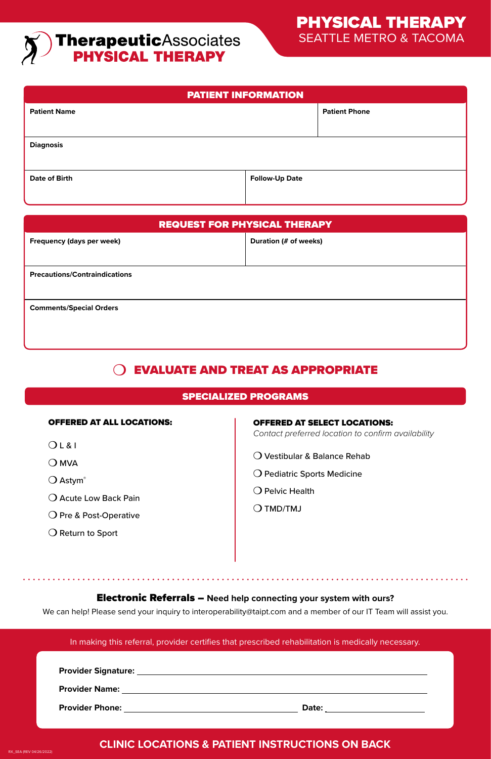# **TherapeuticAssociates**<br>**PHYSICAL THERAPY**

| <b>PATIENT INFORMATION</b> |                       |                      |  |
|----------------------------|-----------------------|----------------------|--|
| <b>Patient Name</b>        |                       | <b>Patient Phone</b> |  |
|                            |                       |                      |  |
| <b>Diagnosis</b>           |                       |                      |  |
|                            |                       |                      |  |
| <b>Date of Birth</b>       | <b>Follow-Up Date</b> |                      |  |
|                            |                       |                      |  |

| <b>REQUEST FOR PHYSICAL THERAPY</b>  |                       |  |
|--------------------------------------|-----------------------|--|
| Frequency (days per week)            | Duration (# of weeks) |  |
|                                      |                       |  |
| <b>Precautions/Contraindications</b> |                       |  |
|                                      |                       |  |
| <b>Comments/Special Orders</b>       |                       |  |
|                                      |                       |  |
|                                      |                       |  |

# EVALUATE AND TREAT AS APPROPRIATE

### SPECIALIZED PROGRAMS

| <b>OFFERED AT ALL LOCATIONS:</b> |  |  |  |  |
|----------------------------------|--|--|--|--|
|----------------------------------|--|--|--|--|

- $OLRI$
- $OMO$

RX\_SEA (REV 04/26/2022)

- $\bigcirc$  Astym®
- O Acute Low Back Pain
- O Pre & Post-Operative
- O Return to Sport

#### OFFERED AT SELECT LOCATIONS:

*Contact preferred location to confirm availability*

- Vestibular & Balance Rehab
- O Pediatric Sports Medicine
- $\Omega$  Pelvic Health
- $O$  TMD/TMJ

#### Electronic Referrals – **Need help connecting your system with ours?**

We can help! Please send your inquiry to interoperability@taipt.com and a member of our IT Team will assist you.

|                                                                                                                                                                                                                                     | In making this referral, provider certifies that prescribed rehabilitation is medically necessary. |
|-------------------------------------------------------------------------------------------------------------------------------------------------------------------------------------------------------------------------------------|----------------------------------------------------------------------------------------------------|
|                                                                                                                                                                                                                                     |                                                                                                    |
|                                                                                                                                                                                                                                     |                                                                                                    |
| <b>Provider Phone:</b> The contract of the contract of the contract of the contract of the contract of the contract of the contract of the contract of the contract of the contract of the contract of the contract of the contract |                                                                                                    |

## **CLINIC LOCATIONS & PATIENT INSTRUCTIONS ON BACK**